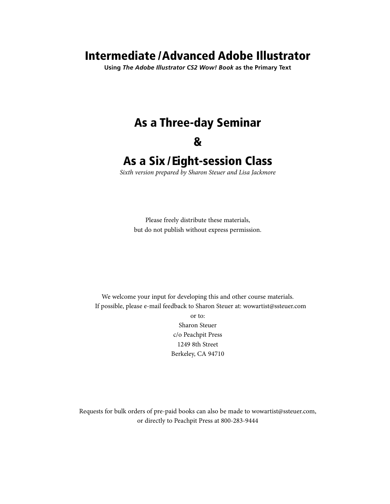## Intermediate /Advanced Adobe Illustrator

**Using** *The Adobe Illustrator CS2 Wow! Book* **as the Primary Text**

# As a Three-day Seminar

### &

## As a Six /Eight-session Class

*Sixth version prepared by Sharon Steuer and Lisa Jackmore*

Please freely distribute these materials, but do not publish without express permission.

We welcome your input for developing this and other course materials. If possible, please e-mail feedback to Sharon Steuer at: wowartist@ssteuer.com or to: Sharon Steuer c/o Peachpit Press 1249 8th Street Berkeley, CA 94710

Requests for bulk orders of pre-paid books can also be made to wowartist@ssteuer.com, or directly to Peachpit Press at 800-283-9444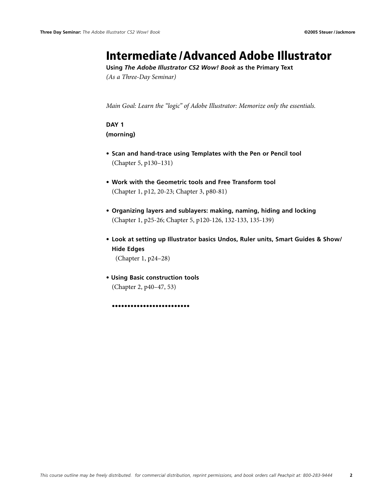### Intermediate /Advanced Adobe Illustrator

**Using** *The Adobe Illustrator CS2 Wow! Book* **as the Primary Text**

*(As a Three-Day Seminar)*

*Main Goal: Learn the "logic" of Adobe Illustrator: Memorize only the essentials.*

### **Day 1**

**(morning)**

- **Scan and hand-trace using Templates with the Pen or Pencil tool**  (Chapter 5, p130–131)
- **• Work with the Geometric tools and Free Transform tool** (Chapter 1, p12, 20-23; Chapter 3, p80-81)
- **• Organizing layers and sublayers: making, naming, hiding and locking** (Chapter 1, p25-26; Chapter 5, p120-126, 132-133, 135-139)
- **• Look at setting up Illustrator basics Undos, Ruler units, Smart Guides & Show/ Hide Edges**

(Chapter 1, p24–28)

**• Using Basic construction tools** (Chapter 2, p40–47, 53)

**•••••••••••••••••••••••••**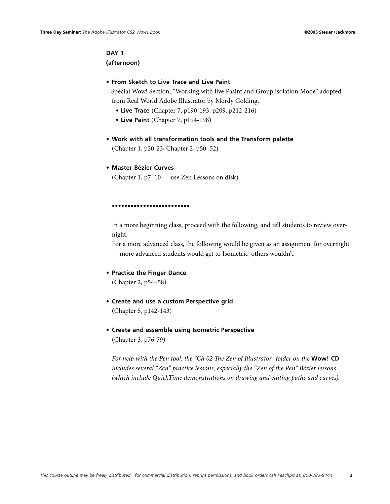### **Day 1**

#### **(afternoon)**

#### **• From Sketch to Live Trace and Live Paint**

 Special Wow! Section, "Working with live Pasint and Group isolation Mode" adopted from Real World Adobe Illustrator by Mordy Golding.

- **Live Trace** (Chapter 7, p190-193, p209, p212-216)
- **Live Paint** (Chapter 7, p194-198)
- **• Work with all transformation tools and the Transform palette** (Chapter 1, p20-23; Chapter 2, p50–52)
- **Master Bézier Curves**

(Chapter 1, p7–10 — use Zen Lessons on disk)

#### **•••••••••••••••••••••••••**

In a more beginning class, proceed with the following, and tell students to review overnight.

For a more advanced class, the following would be given as an assignment for overnight — more advanced students would get to Isometric, others wouldn't.

**• Practice the Finger Dance**

(Chapter 2, p54–58)

- **Create and use a custom Perspective grid**  (Chapter 5, p142-143)
- **• Create and assemble using Isometric Perspective** (Chapter 3, p76-79)

*For help with the Pen tool: the "Ch 02 The Zen of Illustrator" folder on the* **Wow! CD**  *includes several "Zen" practice lessons, especially the "Zen of the Pen" Bézier lessons (which include QuickTime demonstrations on drawing and editing paths and curves).*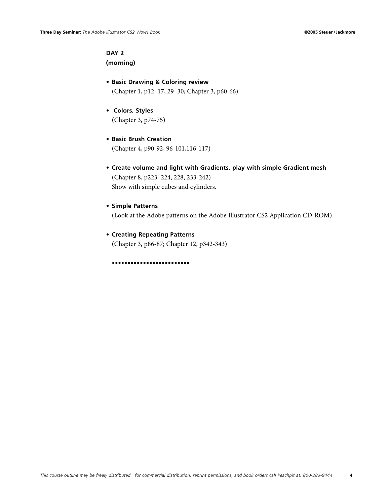### **Day 2**

**(morning)**

- **• Basic Drawing & Coloring review** (Chapter 1, p12–17, 29–30; Chapter 3, p60-66)
- **Colors, Styles**  (Chapter 3, p74-75)
- **• Basic Brush Creation** (Chapter 4, p90-92, 96-101,116-117)
- **Create volume and light with Gradients, play with simple Gradient mesh**  (Chapter 8, p223–224, 228, 233-242) Show with simple cubes and cylinders.
- **• Simple Patterns**

(Look at the Adobe patterns on the Adobe Illustrator CS2 Application CD-ROM)

**• Creating Repeating Patterns**  (Chapter 3, p86-87; Chapter 12, p342-343)

**•••••••••••••••••••••••••**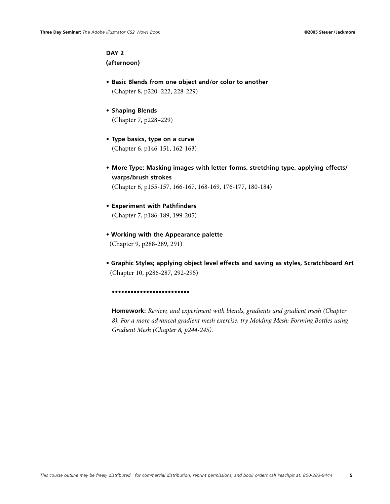### **Day 2**

**(afternoon)**

- **Basic Blends from one object and/or color to another** (Chapter 8, p220–222, 228-229)
- **Shaping Blends**  (Chapter 7, p228–229)
- **Type basics, type on a curve** (Chapter 6, p146-151, 162-163)
- **More Type: Masking images with letter forms, stretching type, applying effects/ warps/brush strokes** (Chapter 6, p155-157, 166-167, 168-169, 176-177, 180-184)
- **• Experiment with Pathfinders** (Chapter 7, p186-189, 199-205)
- **Working with the Appearance palette** (Chapter 9, p288-289, 291)
- **Graphic Styles; applying object level effects and saving as styles, Scratchboard Art** (Chapter 10, p286-287, 292-295)

**•••••••••••••••••••••••••**

**Homework:** *Review, and experiment with blends, gradients and gradient mesh (Chapter 8). For a more advanced gradient mesh exercise, try Molding Mesh: Forming Bottles using Gradient Mesh (Chapter 8, p244-245).*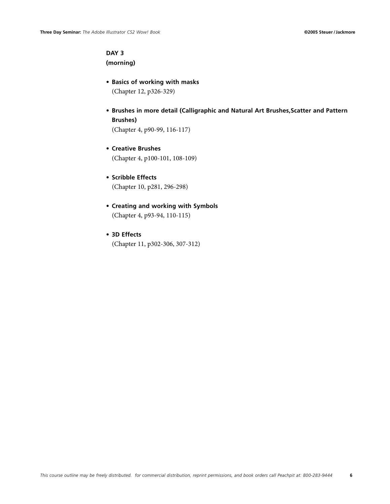### **DAY 3**

**(morning)**

- **• Basics of working with masks** (Chapter 12, p326-329)
- **Brushes in more detail (Calligraphic and Natural Art Brushes,Scatter and Pattern Brushes)**

(Chapter 4, p90-99, 116-117)

- **• Creative Brushes** (Chapter 4, p100-101, 108-109)
- **• Scribble Effects** (Chapter 10, p281, 296-298)
- **• Creating and working with Symbols** (Chapter 4, p93-94, 110-115)
- **3D Effects**

(Chapter 11, p302-306, 307-312)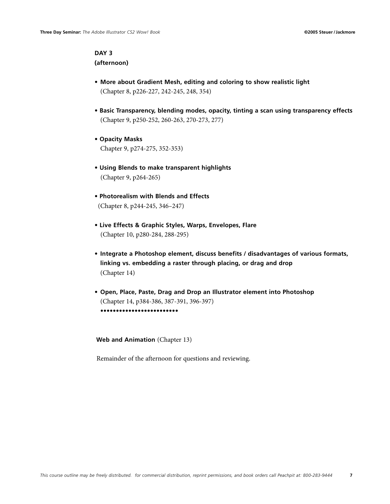### **DAY 3 (afternoon)**

- **More about Gradient Mesh, editing and coloring to show realistic light** (Chapter 8, p226-227, 242-245, 248, 354)
- **Basic Transparency, blending modes, opacity, tinting a scan using transparency effects**  (Chapter 9, p250-252, 260-263, 270-273, 277)
- **Opacity Masks** Chapter 9, p274-275, 352-353)
- **Using Blends to make transparent highlights** (Chapter 9, p264-265)
- **Photorealism with Blends and Effects** (Chapter 8, p244-245, 346–247)
- **Live Effects & Graphic Styles, Warps, Envelopes, Flare** (Chapter 10, p280-284, 288-295)
- **Integrate a Photoshop element, discuss benefits / disadvantages of various formats, linking vs. embedding a raster through placing, or drag and drop** (Chapter 14)
- **Open, Place, Paste, Drag and Drop an Illustrator element into Photoshop** (Chapter 14, p384-386, 387-391, 396-397) **•••••••••••••••••••••••••**

**Web and Animation** (Chapter 13)

Remainder of the afternoon for questions and reviewing.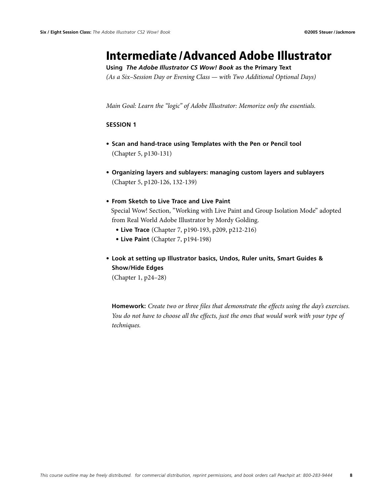### Intermediate /Advanced Adobe Illustrator

**Using** *The Adobe Illustrator CS Wow! Book* **as the Primary Text**

*(As a Six–Session Day or Evening Class — with Two Additional Optional Days)*

*Main Goal: Learn the "logic" of Adobe Illustrator: Memorize only the essentials.*

#### **Session 1**

- **Scan and hand-trace using Templates with the Pen or Pencil tool**  (Chapter 5, p130-131)
- **• Organizing layers and sublayers: managing custom layers and sublayers** (Chapter 5, p120-126, 132-139)
- **From Sketch to Live Trace and Live Paint** Special Wow! Section, "Working with Live Paint and Group Isolation Mode" adopted from Real World Adobe Illustrator by Mordy Golding.
	- **Live Trace** (Chapter 7, p190-193, p209, p212-216)
	- **Live Paint** (Chapter 7, p194-198)
- **• Look at setting up Illustrator basics, Undos, Ruler units, Smart Guides & Show/Hide Edges**

(Chapter 1, p24–28)

**Homework:** *Create two or three files that demonstrate the effects using the day's exercises. You do not have to choose all the effects, just the ones that would work with your type of techniques.*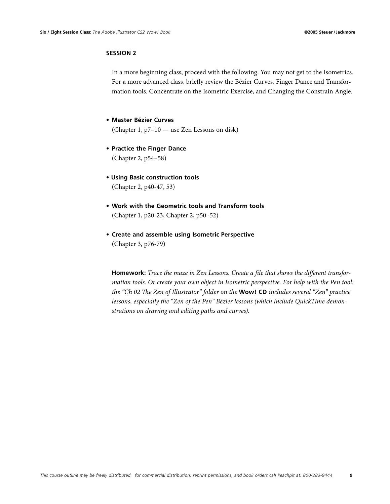In a more beginning class, proceed with the following. You may not get to the Isometrics. For a more advanced class, briefly review the Bézier Curves, Finger Dance and Transformation tools. Concentrate on the Isometric Exercise, and Changing the Constrain Angle.

**• Master Bézier Curves**

(Chapter 1, p7–10 — use Zen Lessons on disk)

- **Practice the Finger Dance** (Chapter 2, p54–58)
- **Using Basic construction tools** (Chapter 2, p40-47, 53)
- **• Work with the Geometric tools and Transform tools** (Chapter 1, p20-23; Chapter 2, p50–52)
- **• Create and assemble using Isometric Perspective** (Chapter 3, p76-79)

**Homework:** *Trace the maze in Zen Lessons. Create a file that shows the different transformation tools. Or create your own object in Isometric perspective. For help with the Pen tool: the "Ch 02 The Zen of Illustrator" folder on the* **Wow! CD** *includes several "Zen" practice lessons, especially the "Zen of the Pen" Bézier lessons (which include QuickTime demonstrations on drawing and editing paths and curves).*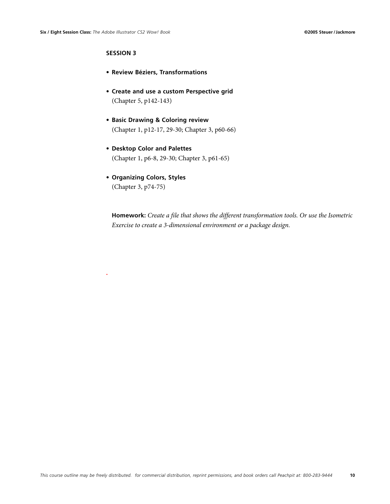**.**

### **Session 3**

- **• Review Béziers, Transformations**
- **Create and use a custom Perspective grid**  (Chapter 5, p142-143)
- **• Basic Drawing & Coloring review** (Chapter 1, p12-17, 29-30; Chapter 3, p60-66)
- **• Desktop Color and Palettes** (Chapter 1, p6-8, 29-30; Chapter 3, p61-65)
- **• Organizing Colors, Styles**  (Chapter 3, p74-75)

**Homework:** *Create a file that shows the different transformation tools. Or use the Isometric Exercise to create a 3-dimensional environment or a package design.*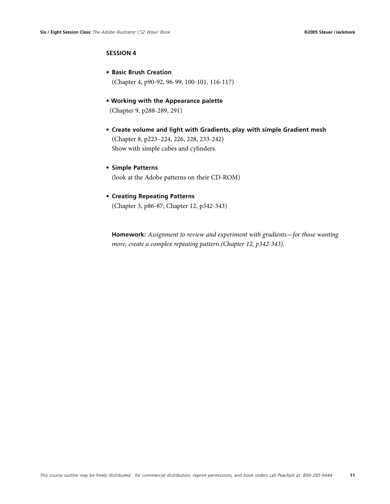- **• Basic Brush Creation**  (Chapter 4, p90-92, 96-99, 100-101, 116-117)
- **Working with the Appearance palette** (Chapter 9, p288-289, 291)
- **Create volume and light with Gradients, play with simple Gradient mesh**  (Chapter 8, p223–224, 226, 228, 233-242) Show with simple cubes and cylinders.
- **• Simple Patterns**  (look at the Adobe patterns on their CD-ROM)
- **• Creating Repeating Patterns**  (Chapter 3, p86-87; Chapter 12, p342-343)

**Homework:** *Assignment to review and experiment with gradients—for those wanting more, create a complex repeating pattern.(Chapter 12, p342-343).*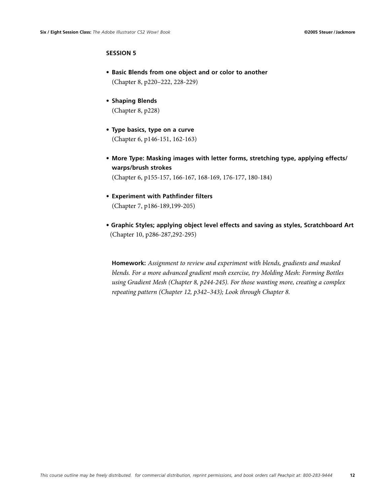- **Basic Blends from one object and or color to another** (Chapter 8, p220–222, 228-229)
- **Shaping Blends** (Chapter 8, p228)
- **Type basics, type on a curve** (Chapter 6, p146-151, 162-163)
- **More Type: Masking images with letter forms, stretching type, applying effects/ warps/brush strokes** (Chapter 6, p155-157, 166-167, 168-169, 176-177, 180-184)
- **• Experiment with Pathfinder filters**  (Chapter 7, p186-189,199-205)
- **Graphic Styles; applying object level effects and saving as styles, Scratchboard Art** (Chapter 10, p286-287,292-295)

**Homework:** *Assignment to review and experiment with blends, gradients and masked blends. For a more advanced gradient mesh exercise, try Molding Mesh: Forming Bottles using Gradient Mesh (Chapter 8, p244-245). For those wanting more, creating a complex repeating pattern (Chapter 12, p342–343); Look through Chapter 8.*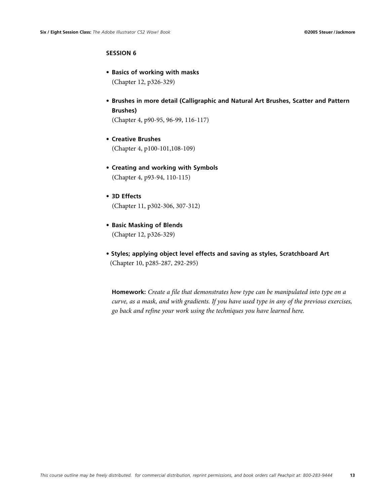- **• Basics of working with masks** (Chapter 12, p326-329)
- **Brushes in more detail (Calligraphic and Natural Art Brushes, Scatter and Pattern Brushes)**

(Chapter 4, p90-95, 96-99, 116-117)

- **• Creative Brushes** (Chapter 4, p100-101,108-109)
- **• Creating and working with Symbols** (Chapter 4, p93-94, 110-115)
- **3D Effects** (Chapter 11, p302-306, 307-312)
- **• Basic Masking of Blends**  (Chapter 12, p326-329)
- **Styles; applying object level effects and saving as styles, Scratchboard Art** (Chapter 10, p285-287, 292-295)

**Homework:** *Create a file that demonstrates how type can be manipulated into type on a curve, as a mask, and with gradients. If you have used type in any of the previous exercises, go back and refine your work using the techniques you have learned here.*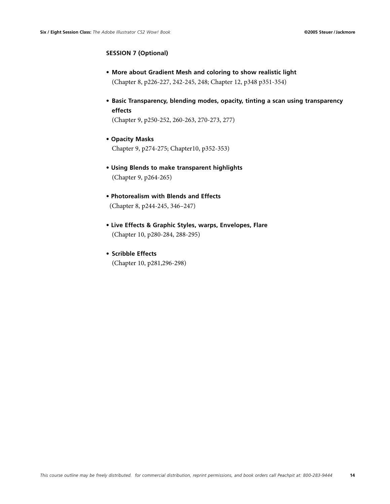### **Session 7 (Optional)**

- **More about Gradient Mesh and coloring to show realistic light** (Chapter 8, p226-227, 242-245, 248; Chapter 12, p348 p351-354)
- **Basic Transparency, blending modes, opacity, tinting a scan using transparency effects**

(Chapter 9, p250-252, 260-263, 270-273, 277)

- **Opacity Masks** Chapter 9, p274-275; Chapter10, p352-353)
- **Using Blends to make transparent highlights** (Chapter 9, p264-265)
- **Photorealism with Blends and Effects** (Chapter 8, p244-245, 346–247)
- **Live Effects & Graphic Styles, warps, Envelopes, Flare** (Chapter 10, p280-284, 288-295)
- **• Scribble Effects** (Chapter 10, p281,296-298)